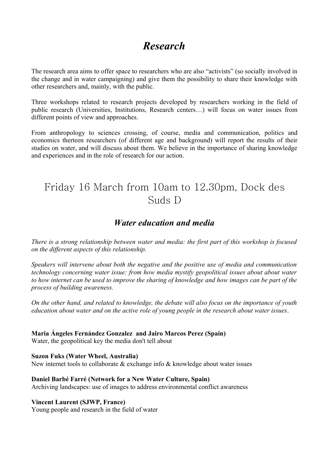# *Research*

The research area aims to offer space to researchers who are also "activists" (so socially involved in the change and in water campaigning) and give them the possibility to share their knowledge with other researchers and, mainly, with the public.

Three workshops related to research projects developed by researchers working in the field of public research (Universities, Institutions, Research centers…) will focus on water issues from different points of view and approaches.

From anthropology to sciences crossing, of course, media and communication, politics and economics therteen researchers (of different age and background) will report the results of their studies on water, and will discuss about them. We believe in the importance of sharing knowledge and experiences and in the role of research for our action.

# Friday 16 March from 10am to 12.30pm, Dock des Suds D

# *Water education and media*

*There is a strong relationship between water and media: the first part of this workshop is focused on the different aspects of this relationship.* 

*Speakers will intervene about both the negative and the positive use of media and communication technology concerning water issue: from how media mystify geopolitical issues about about water to how internet can be used to improve the sharing of knowledge and how images can be part of the process of building awareness.*

*On the other hand, and related to knowledge, the debate will also focus on the importance of youth education about water and on the active role of young people in the research about water issues*.

## **Maria Ángeles Fernández Gonzalez and Jairo Marcos Perez (Spain)**

Water, the geopolitical key the media don't tell about

## **Suzon Fuks (Water Wheel, Australia)**

New internet tools to collaborate  $\&$  exchange info  $\&$  knowledge about water issues

## **Daniel Barbé Farré (Network for a New Water Culture, Spain)**

Archiving landscapes: use of images to address environmental conflict awareness

## **Vincent Laurent (SJWP, France)**

Young people and research in the field of water